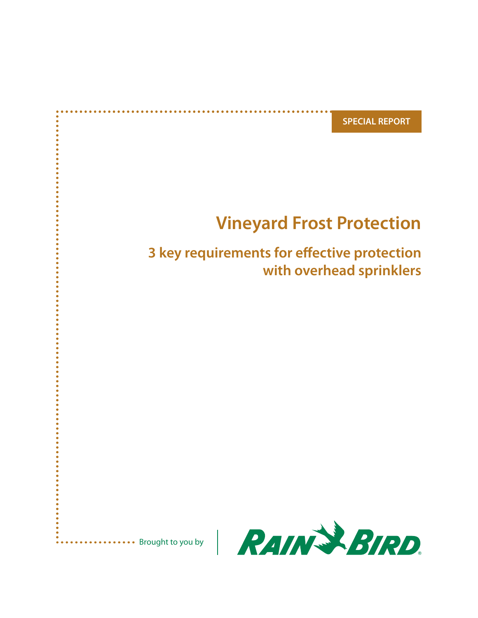**SPECIAL REPORT**

# **Vineyard Frost Protection**

# **3 key requirements for effective protection with overhead sprinklers**



\*\*\*\*\*\*\*\*\*\*\* Brought to you by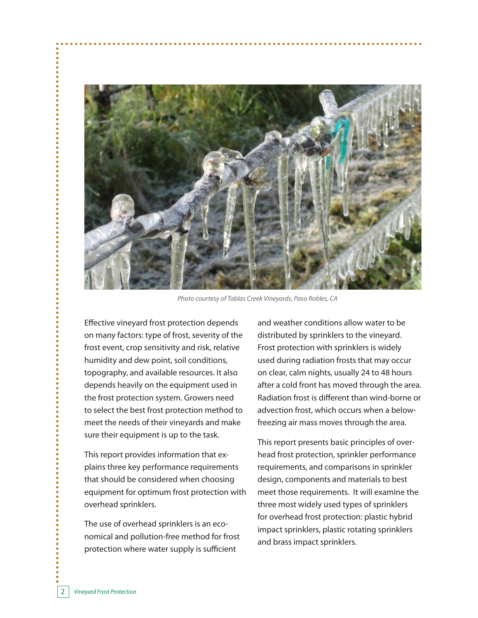

*Photo courtesy of Tablas Creek Vineyards, Paso Robles, CA*

Effective vineyard frost protection depends on many factors: type of frost, severity of the frost event, crop sensitivity and risk, relative humidity and dew point, soil conditions, topography, and available resources. It also depends heavily on the equipment used in the frost protection system. Growers need to select the best frost protection method to meet the needs of their vineyards and make sure their equipment is up to the task.

This report provides information that explains three key performance requirements that should be considered when choosing equipment for optimum frost protection with overhead sprinklers.

The use of overhead sprinklers is an economical and pollution-free method for frost protection where water supply is sufficient

and weather conditions allow water to be distributed by sprinklers to the vineyard. Frost protection with sprinklers is widely used during radiation frosts that may occur on clear, calm nights, usually 24 to 48 hours after a cold front has moved through the area. Radiation frost is different than wind-borne or advection frost, which occurs when a belowfreezing air mass moves through the area.

This report presents basic principles of overhead frost protection, sprinkler performance requirements, and comparisons in sprinkler design, components and materials to best meet those requirements. It will examine the three most widely used types of sprinklers for overhead frost protection: plastic hybrid impact sprinklers, plastic rotating sprinklers and brass impact sprinklers.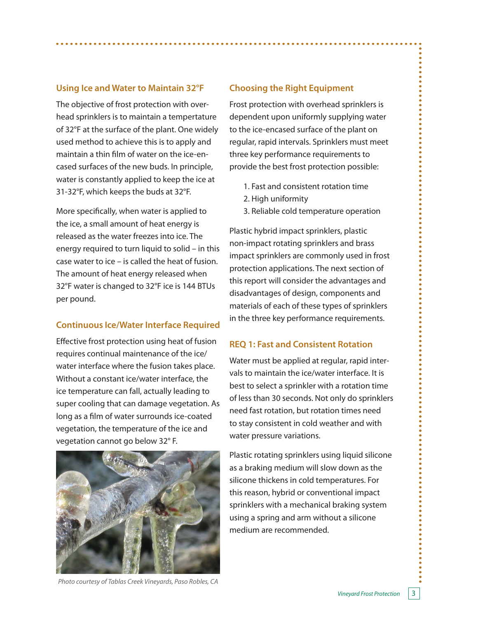### **Using Ice and Water to Maintain 32°F**

The objective of frost protection with overhead sprinklers is to maintain a tempertature of 32°F at the surface of the plant. One widely used method to achieve this is to apply and maintain a thin film of water on the ice-encased surfaces of the new buds. In principle, water is constantly applied to keep the ice at 31-32°F, which keeps the buds at 32°F.

More specifically, when water is applied to the ice, a small amount of heat energy is released as the water freezes into ice. The energy required to turn liquid to solid – in this case water to ice – is called the heat of fusion. The amount of heat energy released when 32°F water is changed to 32°F ice is 144 BTUs per pound.

# **Continuous Ice/Water Interface Required**

Effective frost protection using heat of fusion requires continual maintenance of the ice/ water interface where the fusion takes place. Without a constant ice/water interface, the ice temperature can fall, actually leading to super cooling that can damage vegetation. As long as a film of water surrounds ice-coated vegetation, the temperature of the ice and vegetation cannot go below 32° F.



## **Choosing the Right Equipment**

Frost protection with overhead sprinklers is dependent upon uniformly supplying water to the ice-encased surface of the plant on regular, rapid intervals. Sprinklers must meet three key performance requirements to provide the best frost protection possible:

- 1. Fast and consistent rotation time
- 2. High uniformity
- 3. Reliable cold temperature operation

Plastic hybrid impact sprinklers, plastic non-impact rotating sprinklers and brass impact sprinklers are commonly used in frost protection applications. The next section of this report will consider the advantages and disadvantages of design, components and materials of each of these types of sprinklers in the three key performance requirements.

#### **REQ 1: Fast and Consistent Rotation**

Water must be applied at regular, rapid intervals to maintain the ice/water interface. It is best to select a sprinkler with a rotation time of less than 30 seconds. Not only do sprinklers need fast rotation, but rotation times need to stay consistent in cold weather and with water pressure variations.

Plastic rotating sprinklers using liquid silicone as a braking medium will slow down as the silicone thickens in cold temperatures. For this reason, hybrid or conventional impact sprinklers with a mechanical braking system using a spring and arm without a silicone medium are recommended.

*Photo courtesy of Tablas Creek Vineyards, Paso Robles, CA*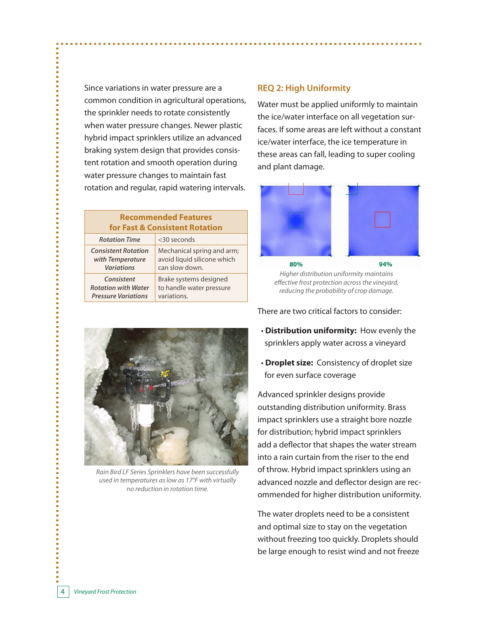Since variations in water pressure are a common condition in agricultural operations, the sprinkler needs to rotate consistently when water pressure changes. Newer plastic hybrid impact sprinklers utilize an advanced braking system design that provides consistent rotation and smooth operation during water pressure changes to maintain fast rotation and regular, rapid watering intervals.

#### **Recommended Features for Fast & Consistent Rotation**

| <b>Rotation Time</b>       | <30 seconds                 |
|----------------------------|-----------------------------|
| <b>Consistent Rotation</b> | Mechanical spring and arm;  |
| with Temperature           | avoid liquid silicone which |
| <b>Variations</b>          | can slow down.              |
| Consistent                 | Brake systems designed      |
| <b>Rotation with Water</b> | to handle water pressure    |
| <b>Pressure Variations</b> | variations.                 |



*Rain Bird LF Series Sprinklers have been successfully used in temperatures as low as 17°F with virtually no reduction in rotation time.*

# **REQ 2: High Uniformity**

Water must be applied uniformly to maintain the ice/water interface on all vegetation surfaces. If some areas are left without a constant ice/water interface, the ice temperature in these areas can fall, leading to super cooling and plant damage.



*Higher distribution uniformity maintains effective frost protection across the vineyard, reducing the probability of crop damage.*

There are two critical factors to consider:

- **Distribution uniformity:** How evenly the sprinklers apply water across a vineyard
- **Droplet size:** Consistency of droplet size for even surface coverage

Advanced sprinkler designs provide outstanding distribution uniformity. Brass impact sprinklers use a straight bore nozzle for distribution; hybrid impact sprinklers add a deflector that shapes the water stream into a rain curtain from the riser to the end of throw. Hybrid impact sprinklers using an advanced nozzle and deflector design are recommended for higher distribution uniformity.

The water droplets need to be a consistent and optimal size to stay on the vegetation without freezing too quickly. Droplets should be large enough to resist wind and not freeze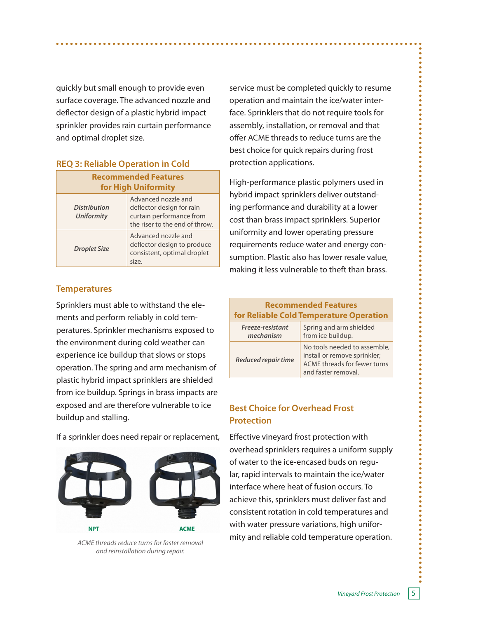quickly but small enough to provide even surface coverage. The advanced nozzle and deflector design of a plastic hybrid impact sprinkler provides rain curtain performance and optimal droplet size.

#### **REQ 3: Reliable Operation in Cold**

| <b>Recommended Features</b><br>for High Uniformity |                                                                                                                |  |
|----------------------------------------------------|----------------------------------------------------------------------------------------------------------------|--|
| <b>Distribution</b><br><b>Uniformity</b>           | Advanced nozzle and<br>deflector design for rain<br>curtain performance from<br>the riser to the end of throw. |  |
| <b>Droplet Size</b>                                | Advanced nozzle and<br>deflector design to produce<br>consistent, optimal droplet<br>size.                     |  |

#### **Temperatures**

Sprinklers must able to withstand the elements and perform reliably in cold temperatures. Sprinkler mechanisms exposed to the environment during cold weather can experience ice buildup that slows or stops operation. The spring and arm mechanism of plastic hybrid impact sprinklers are shielded from ice buildup. Springs in brass impacts are exposed and are therefore vulnerable to ice buildup and stalling.

If a sprinkler does need repair or replacement,



*and reinstallation during repair.*

service must be completed quickly to resume operation and maintain the ice/water interface. Sprinklers that do not require tools for assembly, installation, or removal and that offer ACME threads to reduce turns are the best choice for quick repairs during frost protection applications.

High-performance plastic polymers used in hybrid impact sprinklers deliver outstanding performance and durability at a lower cost than brass impact sprinklers. Superior uniformity and lower operating pressure requirements reduce water and energy consumption. Plastic also has lower resale value, making it less vulnerable to theft than brass.

| <b>Recommended Features</b><br>for Reliable Cold Temperature Operation |                                                                                                                     |  |  |
|------------------------------------------------------------------------|---------------------------------------------------------------------------------------------------------------------|--|--|
| Freeze-resistant<br>mechanism                                          | Spring and arm shielded<br>from ice buildup.                                                                        |  |  |
| <b>Reduced repair time</b>                                             | No tools needed to assemble,<br>install or remove sprinkler;<br>ACME threads for fewer turns<br>and faster removal. |  |  |

# **Best Choice for Overhead Frost Protection**

Effective vineyard frost protection with overhead sprinklers requires a uniform supply of water to the ice-encased buds on regular, rapid intervals to maintain the ice/water interface where heat of fusion occurs. To achieve this, sprinklers must deliver fast and consistent rotation in cold temperatures and with water pressure variations, high uniformity and reliable cold temperature operation. *ACME threads reduce turns for faster removal*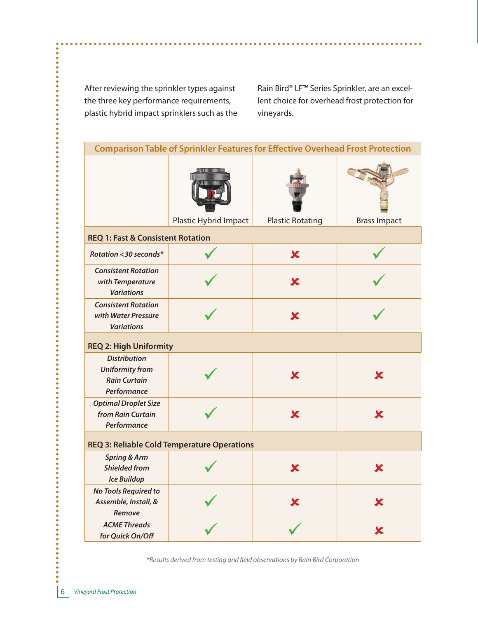After reviewing the sprinkler types against the three key performance requirements, plastic hybrid impact sprinklers such as the

......

.........

.....

 $\bullet$ 

.....

.......

.......

.......

.......

.......

.......

.....

 $\bullet$ 

.....

 $\bullet$ 

......

.......

 $\ddot{\bullet}$ 

Rain Bird® LF™ Series Sprinkler, are an excellent choice for overhead frost protection for vineyards.

| <b>Comparison Table of Sprinkler Features for Effective Overhead Frost Protection</b> |                       |                           |                         |  |
|---------------------------------------------------------------------------------------|-----------------------|---------------------------|-------------------------|--|
|                                                                                       | Plastic Hybrid Impact | <b>Plastic Rotating</b>   | <b>Brass Impact</b>     |  |
| <b>REQ 1: Fast &amp; Consistent Rotation</b>                                          |                       |                           |                         |  |
| Rotation <30 seconds*                                                                 |                       | $\overline{\mathbf{x}}$   |                         |  |
| <b>Consistent Rotation</b><br>with Temperature<br><b>Variations</b>                   |                       | $\boldsymbol{\mathsf{x}}$ |                         |  |
| <b>Consistent Rotation</b><br>with Water Pressure<br><b>Variations</b>                |                       | $\overline{\mathbf{x}}$   |                         |  |
| <b>REQ 2: High Uniformity</b>                                                         |                       |                           |                         |  |
| <b>Distribution</b><br><b>Uniformity from</b><br><b>Rain Curtain</b><br>Performance   |                       | Х                         | Х                       |  |
| <b>Optimal Droplet Size</b><br>from Rain Curtain<br>Performance                       |                       | X                         | Х                       |  |
| <b>REQ 3: Reliable Cold Temperature Operations</b>                                    |                       |                           |                         |  |
| <b>Spring &amp; Arm</b><br><b>Shielded from</b><br><b>Ice Buildup</b>                 |                       | X                         | X                       |  |
| No Tools Required to<br>Assemble, Install, &<br>Remove                                |                       | $\overline{\textbf{x}}$   | $\overline{\textbf{x}}$ |  |
| <b>ACME Threads</b><br>for Quick On/Off                                               |                       |                           | Х                       |  |

*\*Results derived from testing and field observations by Rain Bird Corporation*